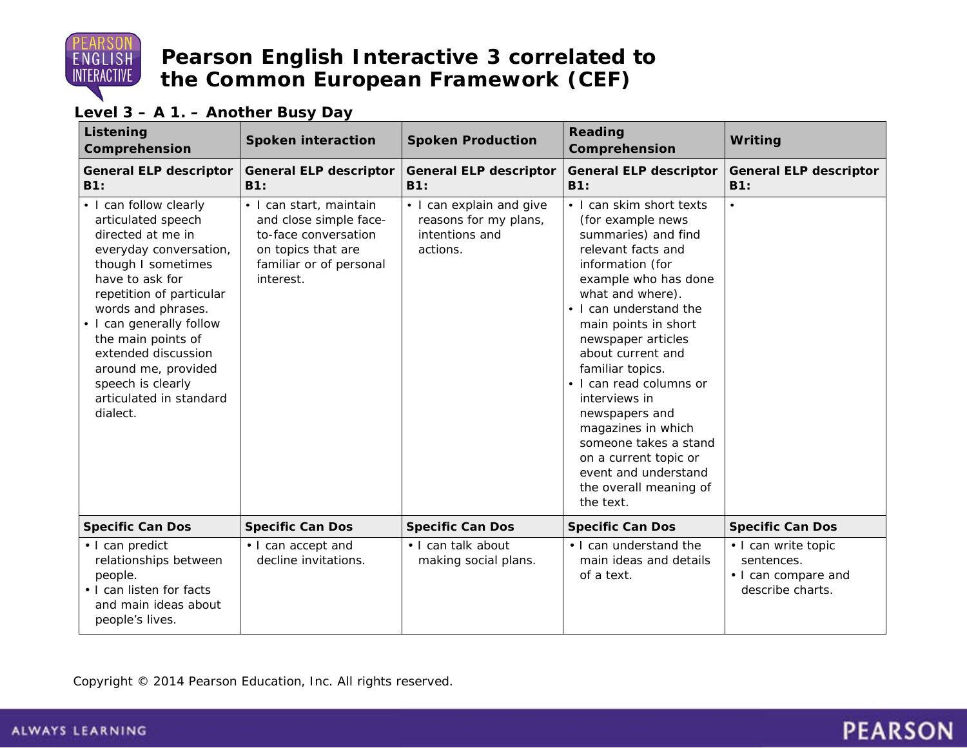

#### **Level 3 – A 1. – Another Busy Day**

| Listening<br>Comprehension                                                                                                                                                                                                                                                                                                                         | <b>Spoken interaction</b>                                                                                                               | <b>Spoken Production</b>                                                        | Reading<br>Comprehension                                                                                                                                                                                                                                                                                                                                                                                                                                                         | <b>Writing</b>                                                               |
|----------------------------------------------------------------------------------------------------------------------------------------------------------------------------------------------------------------------------------------------------------------------------------------------------------------------------------------------------|-----------------------------------------------------------------------------------------------------------------------------------------|---------------------------------------------------------------------------------|----------------------------------------------------------------------------------------------------------------------------------------------------------------------------------------------------------------------------------------------------------------------------------------------------------------------------------------------------------------------------------------------------------------------------------------------------------------------------------|------------------------------------------------------------------------------|
| <b>General ELP descriptor</b><br>B1:                                                                                                                                                                                                                                                                                                               | <b>General ELP descriptor</b><br>B1:                                                                                                    | <b>General ELP descriptor</b><br>B1:                                            | <b>General ELP descriptor</b><br>B1:                                                                                                                                                                                                                                                                                                                                                                                                                                             | <b>General ELP descriptor</b><br><b>B1:</b>                                  |
| • I can follow clearly<br>articulated speech<br>directed at me in<br>everyday conversation,<br>though I sometimes<br>have to ask for<br>repetition of particular<br>words and phrases.<br>• I can generally follow<br>the main points of<br>extended discussion<br>around me, provided<br>speech is clearly<br>articulated in standard<br>dialect. | · I can start, maintain<br>and close simple face-<br>to-face conversation<br>on topics that are<br>familiar or of personal<br>interest. | • I can explain and give<br>reasons for my plans,<br>intentions and<br>actions. | • I can skim short texts<br>(for example news<br>summaries) and find<br>relevant facts and<br>information (for<br>example who has done<br>what and where).<br>• I can understand the<br>main points in short<br>newspaper articles<br>about current and<br>familiar topics.<br>• I can read columns or<br>interviews in<br>newspapers and<br>magazines in which<br>someone takes a stand<br>on a current topic or<br>event and understand<br>the overall meaning of<br>the text. | $\bullet$                                                                    |
| <b>Specific Can Dos</b>                                                                                                                                                                                                                                                                                                                            | <b>Specific Can Dos</b>                                                                                                                 | <b>Specific Can Dos</b>                                                         | <b>Specific Can Dos</b>                                                                                                                                                                                                                                                                                                                                                                                                                                                          | <b>Specific Can Dos</b>                                                      |
| · I can predict<br>relationships between<br>people.<br>• I can listen for facts<br>and main ideas about<br>people's lives.                                                                                                                                                                                                                         | • I can accept and<br>decline invitations.                                                                                              | · I can talk about<br>making social plans.                                      | . I can understand the<br>main ideas and details<br>of a text.                                                                                                                                                                                                                                                                                                                                                                                                                   | • I can write topic<br>sentences.<br>• I can compare and<br>describe charts. |

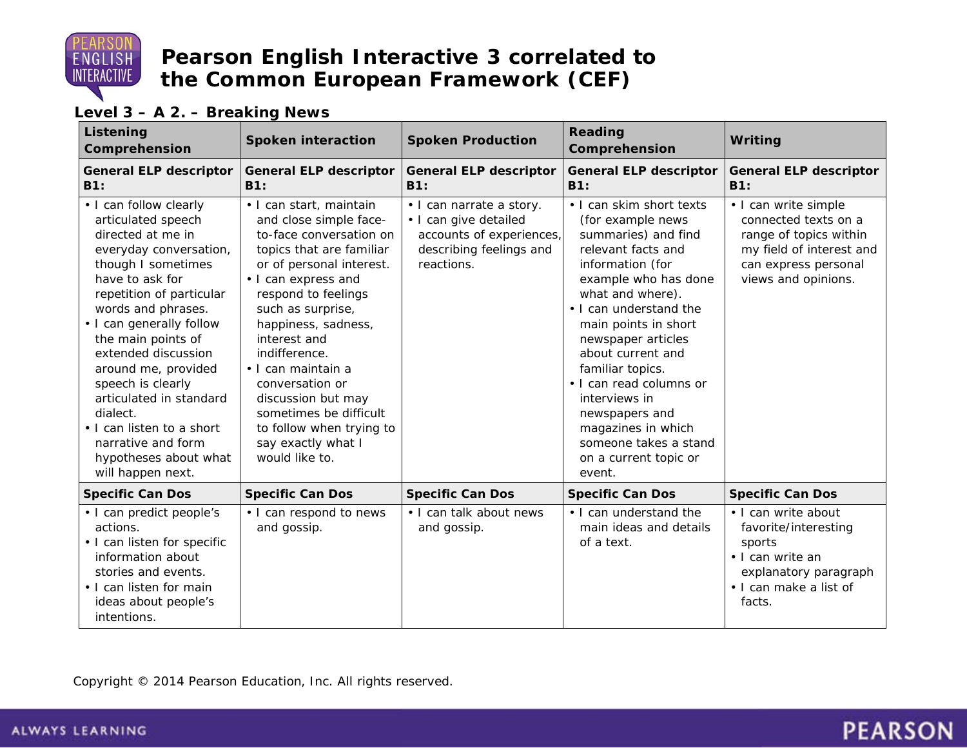

#### **Level 3 – A 2. – Breaking News**

| Listening<br>Comprehension                                                                                                                                                                                                                                                                                                                                                                                                                          | <b>Spoken interaction</b>                                                                                                                                                                                                                                                                                                                                                                                                    | <b>Spoken Production</b>                                                                                               | Reading<br>Comprehension                                                                                                                                                                                                                                                                                                                                                                                                    | Writing                                                                                                                                           |
|-----------------------------------------------------------------------------------------------------------------------------------------------------------------------------------------------------------------------------------------------------------------------------------------------------------------------------------------------------------------------------------------------------------------------------------------------------|------------------------------------------------------------------------------------------------------------------------------------------------------------------------------------------------------------------------------------------------------------------------------------------------------------------------------------------------------------------------------------------------------------------------------|------------------------------------------------------------------------------------------------------------------------|-----------------------------------------------------------------------------------------------------------------------------------------------------------------------------------------------------------------------------------------------------------------------------------------------------------------------------------------------------------------------------------------------------------------------------|---------------------------------------------------------------------------------------------------------------------------------------------------|
| <b>General ELP descriptor</b><br>B1:                                                                                                                                                                                                                                                                                                                                                                                                                | <b>General ELP descriptor</b><br>B1:                                                                                                                                                                                                                                                                                                                                                                                         | <b>General ELP descriptor</b><br>B1:                                                                                   | <b>General ELP descriptor</b><br>B1:                                                                                                                                                                                                                                                                                                                                                                                        | <b>General ELP descriptor</b><br>B1:                                                                                                              |
| • I can follow clearly<br>articulated speech<br>directed at me in<br>everyday conversation,<br>though I sometimes<br>have to ask for<br>repetition of particular<br>words and phrases.<br>• I can generally follow<br>the main points of<br>extended discussion<br>around me, provided<br>speech is clearly<br>articulated in standard<br>dialect.<br>• I can listen to a short<br>narrative and form<br>hypotheses about what<br>will happen next. | • I can start, maintain<br>and close simple face-<br>to-face conversation on<br>topics that are familiar<br>or of personal interest.<br>• I can express and<br>respond to feelings<br>such as surprise,<br>happiness, sadness,<br>interest and<br>indifference.<br>• I can maintain a<br>conversation or<br>discussion but may<br>sometimes be difficult<br>to follow when trying to<br>say exactly what I<br>would like to. | • I can narrate a story.<br>· I can give detailed<br>accounts of experiences,<br>describing feelings and<br>reactions. | • I can skim short texts<br>(for example news<br>summaries) and find<br>relevant facts and<br>information (for<br>example who has done<br>what and where).<br>. I can understand the<br>main points in short<br>newspaper articles<br>about current and<br>familiar topics.<br>• I can read columns or<br>interviews in<br>newspapers and<br>magazines in which<br>someone takes a stand<br>on a current topic or<br>event. | • I can write simple<br>connected texts on a<br>range of topics within<br>my field of interest and<br>can express personal<br>views and opinions. |
| <b>Specific Can Dos</b>                                                                                                                                                                                                                                                                                                                                                                                                                             | <b>Specific Can Dos</b>                                                                                                                                                                                                                                                                                                                                                                                                      | <b>Specific Can Dos</b>                                                                                                | <b>Specific Can Dos</b>                                                                                                                                                                                                                                                                                                                                                                                                     | <b>Specific Can Dos</b>                                                                                                                           |
| • I can predict people's<br>actions.<br>• I can listen for specific<br>information about<br>stories and events.<br>• I can listen for main<br>ideas about people's<br>intentions.                                                                                                                                                                                                                                                                   | • I can respond to news<br>and gossip.                                                                                                                                                                                                                                                                                                                                                                                       | • I can talk about news<br>and gossip.                                                                                 | • I can understand the<br>main ideas and details<br>of a text.                                                                                                                                                                                                                                                                                                                                                              | · I can write about<br>favorite/interesting<br>sports<br>• I can write an<br>explanatory paragraph<br>. I can make a list of<br>facts.            |

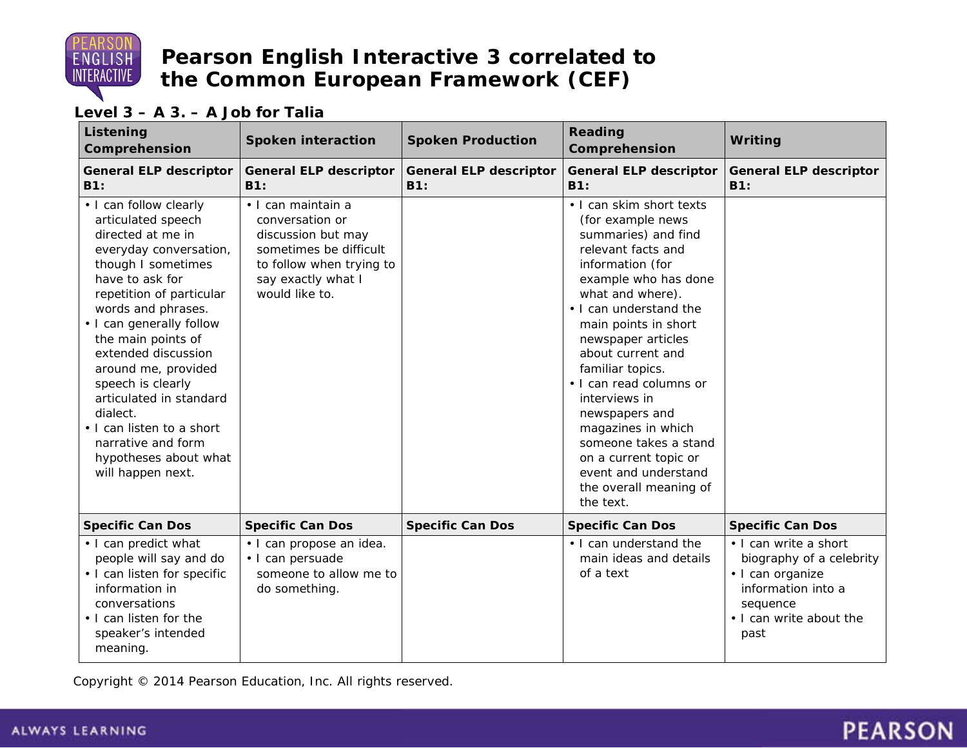

#### **Level 3 – A 3. – A Job for Talia**

| Listening<br>Comprehension                                                                                                                                                                                                                                                                                                                                                                                                                          | <b>Spoken interaction</b>                                                                                                                                 | <b>Spoken Production</b>             | <b>Reading</b><br>Comprehension                                                                                                                                                                                                                                                                                                                                                                                                                                                  | Writing                                                                                                                                    |
|-----------------------------------------------------------------------------------------------------------------------------------------------------------------------------------------------------------------------------------------------------------------------------------------------------------------------------------------------------------------------------------------------------------------------------------------------------|-----------------------------------------------------------------------------------------------------------------------------------------------------------|--------------------------------------|----------------------------------------------------------------------------------------------------------------------------------------------------------------------------------------------------------------------------------------------------------------------------------------------------------------------------------------------------------------------------------------------------------------------------------------------------------------------------------|--------------------------------------------------------------------------------------------------------------------------------------------|
| <b>General ELP descriptor</b><br>B1:                                                                                                                                                                                                                                                                                                                                                                                                                | <b>General ELP descriptor</b><br><b>B1:</b>                                                                                                               | <b>General ELP descriptor</b><br>B1: | <b>General ELP descriptor</b><br>B1:                                                                                                                                                                                                                                                                                                                                                                                                                                             | <b>General ELP descriptor</b><br>B1:                                                                                                       |
| • I can follow clearly<br>articulated speech<br>directed at me in<br>everyday conversation,<br>though I sometimes<br>have to ask for<br>repetition of particular<br>words and phrases.<br>• I can generally follow<br>the main points of<br>extended discussion<br>around me, provided<br>speech is clearly<br>articulated in standard<br>dialect.<br>. I can listen to a short<br>narrative and form<br>hypotheses about what<br>will happen next. | · I can maintain a<br>conversation or<br>discussion but may<br>sometimes be difficult<br>to follow when trying to<br>say exactly what I<br>would like to. |                                      | . I can skim short texts<br>(for example news<br>summaries) and find<br>relevant facts and<br>information (for<br>example who has done<br>what and where).<br>. I can understand the<br>main points in short<br>newspaper articles<br>about current and<br>familiar topics.<br>• I can read columns or<br>interviews in<br>newspapers and<br>magazines in which<br>someone takes a stand<br>on a current topic or<br>event and understand<br>the overall meaning of<br>the text. |                                                                                                                                            |
| <b>Specific Can Dos</b>                                                                                                                                                                                                                                                                                                                                                                                                                             | <b>Specific Can Dos</b>                                                                                                                                   | <b>Specific Can Dos</b>              | <b>Specific Can Dos</b>                                                                                                                                                                                                                                                                                                                                                                                                                                                          | <b>Specific Can Dos</b>                                                                                                                    |
| • I can predict what<br>people will say and do<br>• I can listen for specific<br>information in<br>conversations<br>. I can listen for the<br>speaker's intended<br>meaning.                                                                                                                                                                                                                                                                        | · I can propose an idea.<br>· I can persuade<br>someone to allow me to<br>do something.                                                                   |                                      | . I can understand the<br>main ideas and details<br>of a text                                                                                                                                                                                                                                                                                                                                                                                                                    | • I can write a short<br>biography of a celebrity<br>· I can organize<br>information into a<br>sequence<br>. I can write about the<br>past |

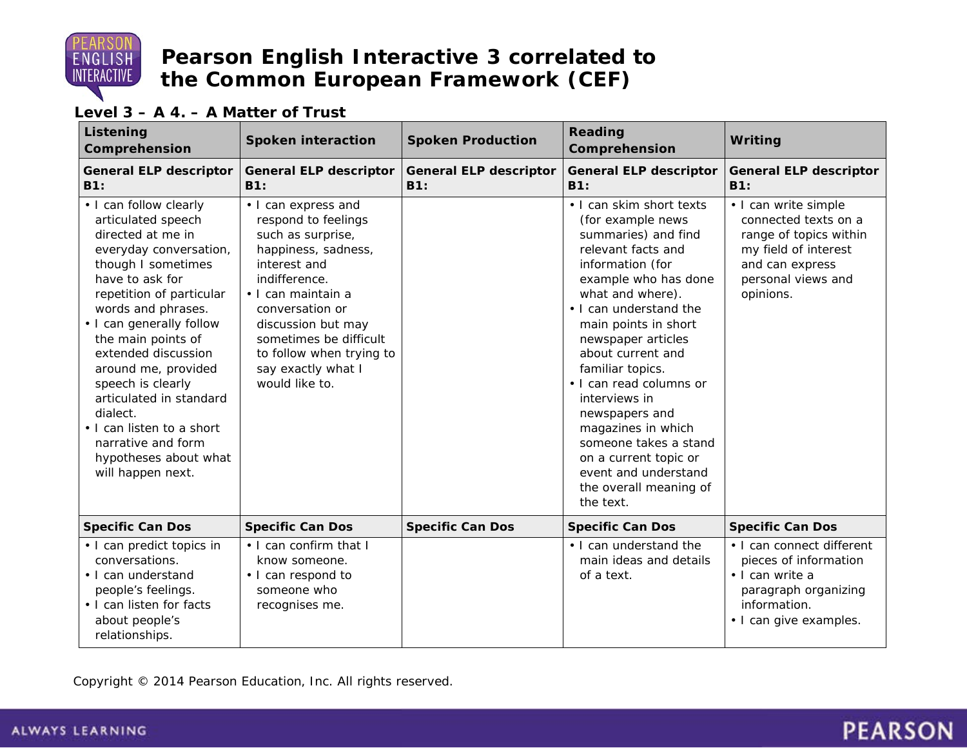

#### **Level 3 – A 4. – A Matter of Trust**

| Listening<br>Comprehension                                                                                                                                                                                                                                                                                                                                                                                                                          | <b>Spoken interaction</b>                                                                                                                                                                                                                                                            | <b>Spoken Production</b>             | <b>Reading</b><br>Comprehension                                                                                                                                                                                                                                                                                                                                                                                                                                                  | Writing                                                                                                                                              |
|-----------------------------------------------------------------------------------------------------------------------------------------------------------------------------------------------------------------------------------------------------------------------------------------------------------------------------------------------------------------------------------------------------------------------------------------------------|--------------------------------------------------------------------------------------------------------------------------------------------------------------------------------------------------------------------------------------------------------------------------------------|--------------------------------------|----------------------------------------------------------------------------------------------------------------------------------------------------------------------------------------------------------------------------------------------------------------------------------------------------------------------------------------------------------------------------------------------------------------------------------------------------------------------------------|------------------------------------------------------------------------------------------------------------------------------------------------------|
| <b>General ELP descriptor</b><br>B1:                                                                                                                                                                                                                                                                                                                                                                                                                | <b>General ELP descriptor</b><br>B1:                                                                                                                                                                                                                                                 | <b>General ELP descriptor</b><br>B1: | <b>General ELP descriptor</b><br>B1:                                                                                                                                                                                                                                                                                                                                                                                                                                             | <b>General ELP descriptor</b><br>B1:                                                                                                                 |
| • I can follow clearly<br>articulated speech<br>directed at me in<br>everyday conversation,<br>though I sometimes<br>have to ask for<br>repetition of particular<br>words and phrases.<br>• I can generally follow<br>the main points of<br>extended discussion<br>around me, provided<br>speech is clearly<br>articulated in standard<br>dialect.<br>• I can listen to a short<br>narrative and form<br>hypotheses about what<br>will happen next. | • I can express and<br>respond to feelings<br>such as surprise,<br>happiness, sadness,<br>interest and<br>indifference.<br>• I can maintain a<br>conversation or<br>discussion but may<br>sometimes be difficult<br>to follow when trying to<br>say exactly what I<br>would like to. |                                      | • I can skim short texts<br>(for example news<br>summaries) and find<br>relevant facts and<br>information (for<br>example who has done<br>what and where).<br>• I can understand the<br>main points in short<br>newspaper articles<br>about current and<br>familiar topics.<br>• I can read columns or<br>interviews in<br>newspapers and<br>magazines in which<br>someone takes a stand<br>on a current topic or<br>event and understand<br>the overall meaning of<br>the text. | • I can write simple<br>connected texts on a<br>range of topics within<br>my field of interest<br>and can express<br>personal views and<br>opinions. |
| <b>Specific Can Dos</b>                                                                                                                                                                                                                                                                                                                                                                                                                             | <b>Specific Can Dos</b>                                                                                                                                                                                                                                                              | <b>Specific Can Dos</b>              | <b>Specific Can Dos</b>                                                                                                                                                                                                                                                                                                                                                                                                                                                          | <b>Specific Can Dos</b>                                                                                                                              |
| • I can predict topics in<br>conversations.<br>• I can understand<br>people's feelings.<br>• I can listen for facts<br>about people's<br>relationships.                                                                                                                                                                                                                                                                                             | . I can confirm that I<br>know someone.<br>• I can respond to<br>someone who<br>recognises me.                                                                                                                                                                                       |                                      | . I can understand the<br>main ideas and details<br>of a text.                                                                                                                                                                                                                                                                                                                                                                                                                   | • I can connect different<br>pieces of information<br>· I can write a<br>paragraph organizing<br>information.<br>• I can give examples.              |

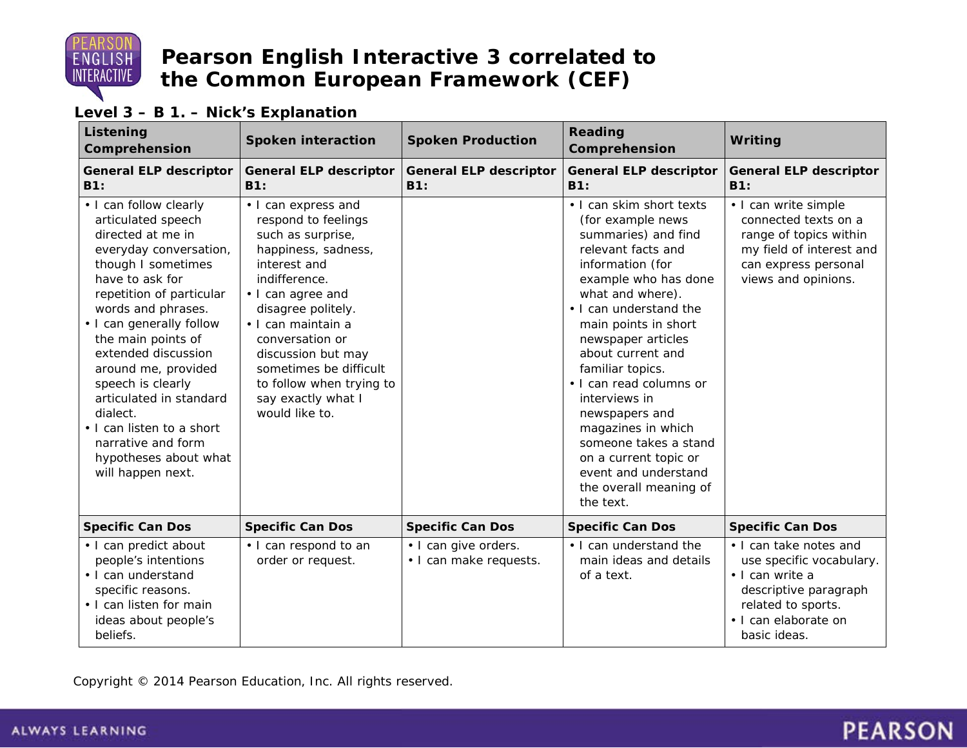

#### **Level 3 – B 1. – Nick's Explanation**

| Listening<br>Comprehension                                                                                                                                                                                                                                                                                                                                                                                                                          | <b>Spoken interaction</b>                                                                                                                                                                                                                                                                                                       | <b>Spoken Production</b>                       | <b>Reading</b><br>Comprehension                                                                                                                                                                                                                                                                                                                                                                                                                                                  | Writing                                                                                                                                                      |
|-----------------------------------------------------------------------------------------------------------------------------------------------------------------------------------------------------------------------------------------------------------------------------------------------------------------------------------------------------------------------------------------------------------------------------------------------------|---------------------------------------------------------------------------------------------------------------------------------------------------------------------------------------------------------------------------------------------------------------------------------------------------------------------------------|------------------------------------------------|----------------------------------------------------------------------------------------------------------------------------------------------------------------------------------------------------------------------------------------------------------------------------------------------------------------------------------------------------------------------------------------------------------------------------------------------------------------------------------|--------------------------------------------------------------------------------------------------------------------------------------------------------------|
| <b>General ELP descriptor</b><br>B1:                                                                                                                                                                                                                                                                                                                                                                                                                | <b>General ELP descriptor</b><br>B1:                                                                                                                                                                                                                                                                                            | <b>General ELP descriptor</b><br>B1:           | <b>General ELP descriptor</b><br>B1:                                                                                                                                                                                                                                                                                                                                                                                                                                             | <b>General ELP descriptor</b><br>B1:                                                                                                                         |
| • I can follow clearly<br>articulated speech<br>directed at me in<br>everyday conversation,<br>though I sometimes<br>have to ask for<br>repetition of particular<br>words and phrases.<br>• I can generally follow<br>the main points of<br>extended discussion<br>around me, provided<br>speech is clearly<br>articulated in standard<br>dialect.<br>• I can listen to a short<br>narrative and form<br>hypotheses about what<br>will happen next. | • I can express and<br>respond to feelings<br>such as surprise,<br>happiness, sadness,<br>interest and<br>indifference.<br>• I can agree and<br>disagree politely.<br>· I can maintain a<br>conversation or<br>discussion but may<br>sometimes be difficult<br>to follow when trying to<br>say exactly what I<br>would like to. |                                                | . I can skim short texts<br>(for example news<br>summaries) and find<br>relevant facts and<br>information (for<br>example who has done<br>what and where).<br>. I can understand the<br>main points in short<br>newspaper articles<br>about current and<br>familiar topics.<br>• I can read columns or<br>interviews in<br>newspapers and<br>magazines in which<br>someone takes a stand<br>on a current topic or<br>event and understand<br>the overall meaning of<br>the text. | • I can write simple<br>connected texts on a<br>range of topics within<br>my field of interest and<br>can express personal<br>views and opinions.            |
| <b>Specific Can Dos</b>                                                                                                                                                                                                                                                                                                                                                                                                                             | <b>Specific Can Dos</b>                                                                                                                                                                                                                                                                                                         | <b>Specific Can Dos</b>                        | <b>Specific Can Dos</b>                                                                                                                                                                                                                                                                                                                                                                                                                                                          | <b>Specific Can Dos</b>                                                                                                                                      |
| • I can predict about<br>people's intentions<br>• I can understand<br>specific reasons.<br>• I can listen for main<br>ideas about people's<br>beliefs.                                                                                                                                                                                                                                                                                              | • I can respond to an<br>order or request.                                                                                                                                                                                                                                                                                      | • I can give orders.<br>· I can make requests. | . I can understand the<br>main ideas and details<br>of a text.                                                                                                                                                                                                                                                                                                                                                                                                                   | • I can take notes and<br>use specific vocabulary.<br>· I can write a<br>descriptive paragraph<br>related to sports.<br>· I can elaborate on<br>basic ideas. |

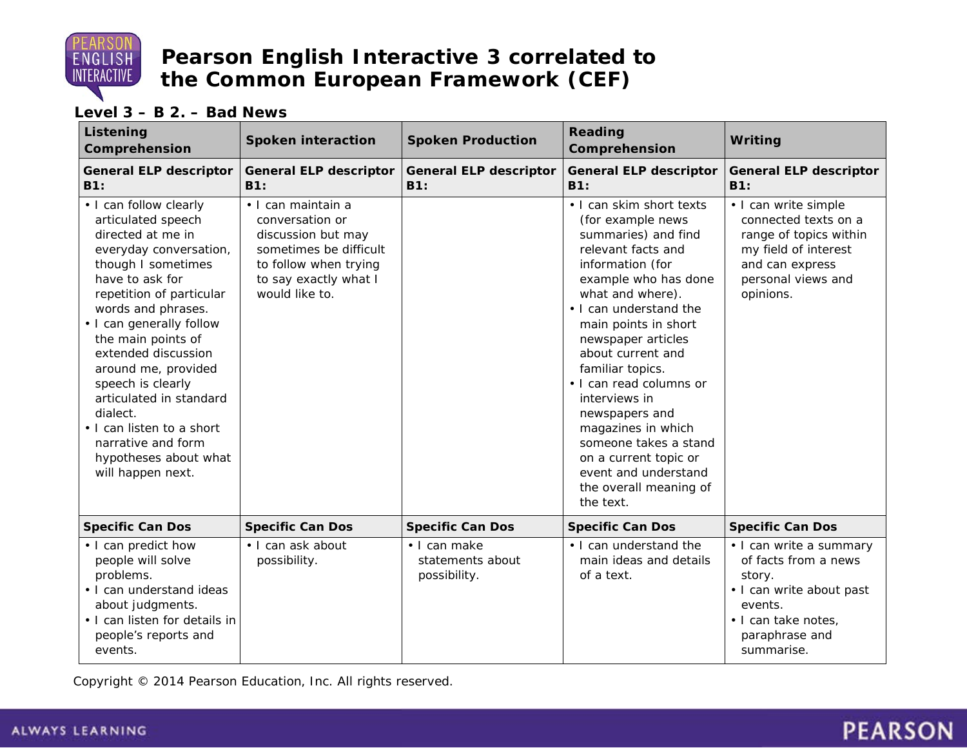

**Level 3 – B 2. – Bad News**

| Listening<br>Comprehension                                                                                                                                                                                                                                                                                                                                                                                                                          | <b>Spoken interaction</b>                                                                                                                                 | <b>Spoken Production</b>                         | Reading<br>Comprehension                                                                                                                                                                                                                                                                                                                                                                                                                                                         | Writing                                                                                                                                                 |
|-----------------------------------------------------------------------------------------------------------------------------------------------------------------------------------------------------------------------------------------------------------------------------------------------------------------------------------------------------------------------------------------------------------------------------------------------------|-----------------------------------------------------------------------------------------------------------------------------------------------------------|--------------------------------------------------|----------------------------------------------------------------------------------------------------------------------------------------------------------------------------------------------------------------------------------------------------------------------------------------------------------------------------------------------------------------------------------------------------------------------------------------------------------------------------------|---------------------------------------------------------------------------------------------------------------------------------------------------------|
| <b>General ELP descriptor</b><br>B1:                                                                                                                                                                                                                                                                                                                                                                                                                | <b>General ELP descriptor</b><br>B1:                                                                                                                      | <b>General ELP descriptor</b><br><b>B1:</b>      | <b>General ELP descriptor</b><br><b>B1:</b>                                                                                                                                                                                                                                                                                                                                                                                                                                      | <b>General ELP descriptor</b><br>B1:                                                                                                                    |
| • I can follow clearly<br>articulated speech<br>directed at me in<br>everyday conversation,<br>though I sometimes<br>have to ask for<br>repetition of particular<br>words and phrases.<br>• I can generally follow<br>the main points of<br>extended discussion<br>around me, provided<br>speech is clearly<br>articulated in standard<br>dialect.<br>• I can listen to a short<br>narrative and form<br>hypotheses about what<br>will happen next. | · I can maintain a<br>conversation or<br>discussion but may<br>sometimes be difficult<br>to follow when trying<br>to say exactly what I<br>would like to. |                                                  | . I can skim short texts<br>(for example news<br>summaries) and find<br>relevant facts and<br>information (for<br>example who has done<br>what and where).<br>• I can understand the<br>main points in short<br>newspaper articles<br>about current and<br>familiar topics.<br>• I can read columns or<br>interviews in<br>newspapers and<br>magazines in which<br>someone takes a stand<br>on a current topic or<br>event and understand<br>the overall meaning of<br>the text. | • I can write simple<br>connected texts on a<br>range of topics within<br>my field of interest<br>and can express<br>personal views and<br>opinions.    |
| <b>Specific Can Dos</b>                                                                                                                                                                                                                                                                                                                                                                                                                             | <b>Specific Can Dos</b>                                                                                                                                   | <b>Specific Can Dos</b>                          | <b>Specific Can Dos</b>                                                                                                                                                                                                                                                                                                                                                                                                                                                          | <b>Specific Can Dos</b>                                                                                                                                 |
| • I can predict how<br>people will solve<br>problems.<br>• I can understand ideas<br>about judgments.<br>· I can listen for details in<br>people's reports and<br>events.                                                                                                                                                                                                                                                                           | · I can ask about<br>possibility.                                                                                                                         | • I can make<br>statements about<br>possibility. | • I can understand the<br>main ideas and details<br>of a text.                                                                                                                                                                                                                                                                                                                                                                                                                   | · I can write a summary<br>of facts from a news<br>story.<br>• I can write about past<br>events.<br>· I can take notes,<br>paraphrase and<br>summarise. |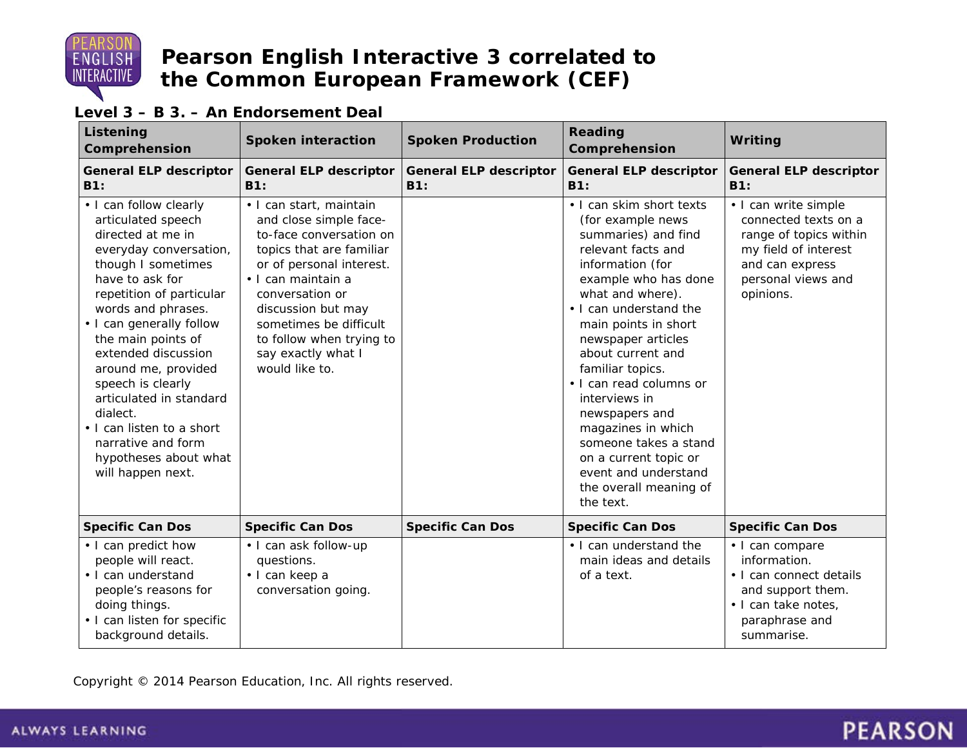

#### **Level 3 – B 3. – An Endorsement Deal**

| Listening<br>Comprehension                                                                                                                                                                                                                                                                                                                                                                                                                          | <b>Spoken interaction</b>                                                                                                                                                                                                                                                                         | <b>Spoken Production</b>             | Reading<br>Comprehension                                                                                                                                                                                                                                                                                                                                                                                                                                                         | Writing                                                                                                                                              |
|-----------------------------------------------------------------------------------------------------------------------------------------------------------------------------------------------------------------------------------------------------------------------------------------------------------------------------------------------------------------------------------------------------------------------------------------------------|---------------------------------------------------------------------------------------------------------------------------------------------------------------------------------------------------------------------------------------------------------------------------------------------------|--------------------------------------|----------------------------------------------------------------------------------------------------------------------------------------------------------------------------------------------------------------------------------------------------------------------------------------------------------------------------------------------------------------------------------------------------------------------------------------------------------------------------------|------------------------------------------------------------------------------------------------------------------------------------------------------|
| <b>General ELP descriptor</b><br>B1:                                                                                                                                                                                                                                                                                                                                                                                                                | <b>General ELP descriptor</b><br>B1:                                                                                                                                                                                                                                                              | <b>General ELP descriptor</b><br>B1: | <b>General ELP descriptor</b><br>B1:                                                                                                                                                                                                                                                                                                                                                                                                                                             | <b>General ELP descriptor</b><br>B1:                                                                                                                 |
| • I can follow clearly<br>articulated speech<br>directed at me in<br>everyday conversation,<br>though I sometimes<br>have to ask for<br>repetition of particular<br>words and phrases.<br>• I can generally follow<br>the main points of<br>extended discussion<br>around me, provided<br>speech is clearly<br>articulated in standard<br>dialect.<br>• I can listen to a short<br>narrative and form<br>hypotheses about what<br>will happen next. | · I can start, maintain<br>and close simple face-<br>to-face conversation on<br>topics that are familiar<br>or of personal interest.<br>• I can maintain a<br>conversation or<br>discussion but may<br>sometimes be difficult<br>to follow when trying to<br>say exactly what I<br>would like to. |                                      | . I can skim short texts<br>(for example news<br>summaries) and find<br>relevant facts and<br>information (for<br>example who has done<br>what and where).<br>. I can understand the<br>main points in short<br>newspaper articles<br>about current and<br>familiar topics.<br>• I can read columns or<br>interviews in<br>newspapers and<br>magazines in which<br>someone takes a stand<br>on a current topic or<br>event and understand<br>the overall meaning of<br>the text. | • I can write simple<br>connected texts on a<br>range of topics within<br>my field of interest<br>and can express<br>personal views and<br>opinions. |
| <b>Specific Can Dos</b>                                                                                                                                                                                                                                                                                                                                                                                                                             | <b>Specific Can Dos</b>                                                                                                                                                                                                                                                                           | <b>Specific Can Dos</b>              | <b>Specific Can Dos</b>                                                                                                                                                                                                                                                                                                                                                                                                                                                          | <b>Specific Can Dos</b>                                                                                                                              |
| • I can predict how<br>people will react.<br>• I can understand<br>people's reasons for<br>doing things.<br>• I can listen for specific<br>background details.                                                                                                                                                                                                                                                                                      | · I can ask follow-up<br>questions.<br>· I can keep a<br>conversation going.                                                                                                                                                                                                                      |                                      | • I can understand the<br>main ideas and details<br>of a text.                                                                                                                                                                                                                                                                                                                                                                                                                   | · I can compare<br>information.<br>• I can connect details<br>and support them.<br>· I can take notes,<br>paraphrase and<br>summarise.               |

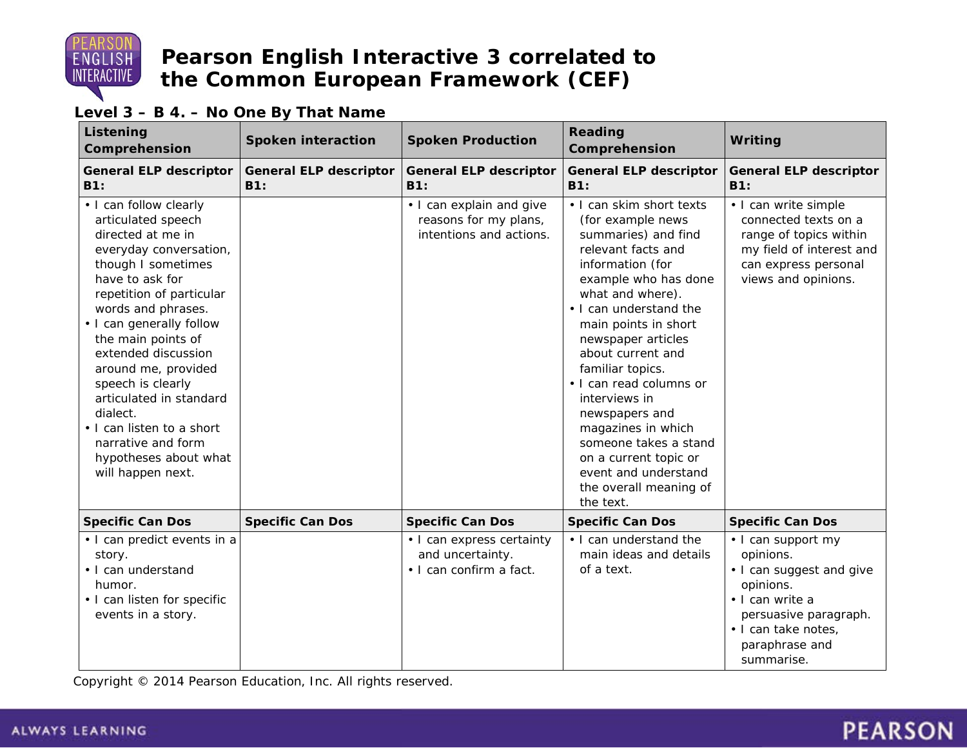

#### **Level 3 – B 4. – No One By That Name**

| <b>Listening</b><br>Comprehension                                                                                                                                                                                                                                                                                                                                                                                                                   | <b>Spoken interaction</b>                   | <b>Spoken Production</b>                                                     | <b>Reading</b><br>Comprehension                                                                                                                                                                                                                                                                                                                                                                                                                                                  | Writing                                                                                                                                                                     |
|-----------------------------------------------------------------------------------------------------------------------------------------------------------------------------------------------------------------------------------------------------------------------------------------------------------------------------------------------------------------------------------------------------------------------------------------------------|---------------------------------------------|------------------------------------------------------------------------------|----------------------------------------------------------------------------------------------------------------------------------------------------------------------------------------------------------------------------------------------------------------------------------------------------------------------------------------------------------------------------------------------------------------------------------------------------------------------------------|-----------------------------------------------------------------------------------------------------------------------------------------------------------------------------|
| <b>General ELP descriptor</b><br>B1:                                                                                                                                                                                                                                                                                                                                                                                                                | <b>General ELP descriptor</b><br><b>B1:</b> | <b>General ELP descriptor</b><br><b>B1:</b>                                  | <b>General ELP descriptor</b><br><b>B1:</b>                                                                                                                                                                                                                                                                                                                                                                                                                                      | <b>General ELP descriptor</b><br>B1:                                                                                                                                        |
| • I can follow clearly<br>articulated speech<br>directed at me in<br>everyday conversation,<br>though I sometimes<br>have to ask for<br>repetition of particular<br>words and phrases.<br>• I can generally follow<br>the main points of<br>extended discussion<br>around me, provided<br>speech is clearly<br>articulated in standard<br>dialect.<br>• I can listen to a short<br>narrative and form<br>hypotheses about what<br>will happen next. |                                             | • I can explain and give<br>reasons for my plans,<br>intentions and actions. | • I can skim short texts<br>(for example news<br>summaries) and find<br>relevant facts and<br>information (for<br>example who has done<br>what and where).<br>. I can understand the<br>main points in short<br>newspaper articles<br>about current and<br>familiar topics.<br>• I can read columns or<br>interviews in<br>newspapers and<br>magazines in which<br>someone takes a stand<br>on a current topic or<br>event and understand<br>the overall meaning of<br>the text. | • I can write simple<br>connected texts on a<br>range of topics within<br>my field of interest and<br>can express personal<br>views and opinions.                           |
| <b>Specific Can Dos</b>                                                                                                                                                                                                                                                                                                                                                                                                                             | <b>Specific Can Dos</b>                     | <b>Specific Can Dos</b>                                                      | <b>Specific Can Dos</b>                                                                                                                                                                                                                                                                                                                                                                                                                                                          | <b>Specific Can Dos</b>                                                                                                                                                     |
| • I can predict events in a<br>story.<br>· I can understand<br>humor.<br>• I can listen for specific<br>events in a story.                                                                                                                                                                                                                                                                                                                          |                                             | • I can express certainty<br>and uncertainty.<br>• I can confirm a fact.     | • I can understand the<br>main ideas and details<br>of a text.                                                                                                                                                                                                                                                                                                                                                                                                                   | • I can support my<br>opinions.<br>• I can suggest and give<br>opinions.<br>· I can write a<br>persuasive paragraph.<br>· I can take notes,<br>paraphrase and<br>summarise. |

Copyright © 2014 Pearson Education, Inc. All rights reserved.

# **PEARSON**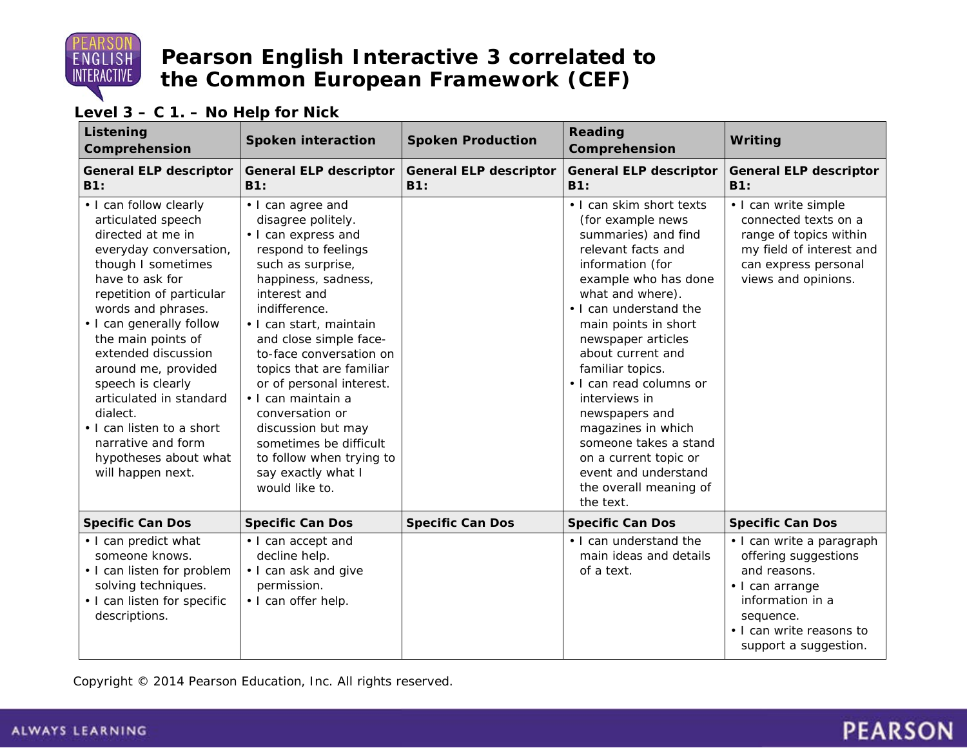

#### **Level 3 – C 1. – No Help for Nick**

| Listening<br>Comprehension                                                                                                                                                                                                                                                                                                                                                                                                                          | <b>Spoken interaction</b>                                                                                                                                                                                                                                                                                                                                                                                                                                               | <b>Spoken Production</b>             | <b>Reading</b><br>Comprehension                                                                                                                                                                                                                                                                                                                                                                                                                                                  | Writing                                                                                                                                                                    |
|-----------------------------------------------------------------------------------------------------------------------------------------------------------------------------------------------------------------------------------------------------------------------------------------------------------------------------------------------------------------------------------------------------------------------------------------------------|-------------------------------------------------------------------------------------------------------------------------------------------------------------------------------------------------------------------------------------------------------------------------------------------------------------------------------------------------------------------------------------------------------------------------------------------------------------------------|--------------------------------------|----------------------------------------------------------------------------------------------------------------------------------------------------------------------------------------------------------------------------------------------------------------------------------------------------------------------------------------------------------------------------------------------------------------------------------------------------------------------------------|----------------------------------------------------------------------------------------------------------------------------------------------------------------------------|
| <b>General ELP descriptor</b><br>B1:                                                                                                                                                                                                                                                                                                                                                                                                                | <b>General ELP descriptor</b><br><b>B1:</b>                                                                                                                                                                                                                                                                                                                                                                                                                             | <b>General ELP descriptor</b><br>B1: | <b>General ELP descriptor</b><br><b>B1:</b>                                                                                                                                                                                                                                                                                                                                                                                                                                      | <b>General ELP descriptor</b><br>B1:                                                                                                                                       |
| • I can follow clearly<br>articulated speech<br>directed at me in<br>everyday conversation,<br>though I sometimes<br>have to ask for<br>repetition of particular<br>words and phrases.<br>• I can generally follow<br>the main points of<br>extended discussion<br>around me, provided<br>speech is clearly<br>articulated in standard<br>dialect.<br>• I can listen to a short<br>narrative and form<br>hypotheses about what<br>will happen next. | • I can agree and<br>disagree politely.<br>• I can express and<br>respond to feelings<br>such as surprise,<br>happiness, sadness,<br>interest and<br>indifference.<br>• I can start, maintain<br>and close simple face-<br>to-face conversation on<br>topics that are familiar<br>or of personal interest.<br>· I can maintain a<br>conversation or<br>discussion but may<br>sometimes be difficult<br>to follow when trying to<br>say exactly what I<br>would like to. |                                      | . I can skim short texts<br>(for example news<br>summaries) and find<br>relevant facts and<br>information (for<br>example who has done<br>what and where).<br>. I can understand the<br>main points in short<br>newspaper articles<br>about current and<br>familiar topics.<br>• I can read columns or<br>interviews in<br>newspapers and<br>magazines in which<br>someone takes a stand<br>on a current topic or<br>event and understand<br>the overall meaning of<br>the text. | • I can write simple<br>connected texts on a<br>range of topics within<br>my field of interest and<br>can express personal<br>views and opinions.                          |
| <b>Specific Can Dos</b>                                                                                                                                                                                                                                                                                                                                                                                                                             | <b>Specific Can Dos</b>                                                                                                                                                                                                                                                                                                                                                                                                                                                 | <b>Specific Can Dos</b>              | <b>Specific Can Dos</b>                                                                                                                                                                                                                                                                                                                                                                                                                                                          | <b>Specific Can Dos</b>                                                                                                                                                    |
| • I can predict what<br>someone knows.<br>• I can listen for problem<br>solving techniques.<br>• I can listen for specific<br>descriptions.                                                                                                                                                                                                                                                                                                         | • I can accept and<br>decline help.<br>• I can ask and give<br>permission.<br>· I can offer help.                                                                                                                                                                                                                                                                                                                                                                       |                                      | • I can understand the<br>main ideas and details<br>of a text.                                                                                                                                                                                                                                                                                                                                                                                                                   | • I can write a paragraph<br>offering suggestions<br>and reasons.<br>• I can arrange<br>information in a<br>sequence.<br>. I can write reasons to<br>support a suggestion. |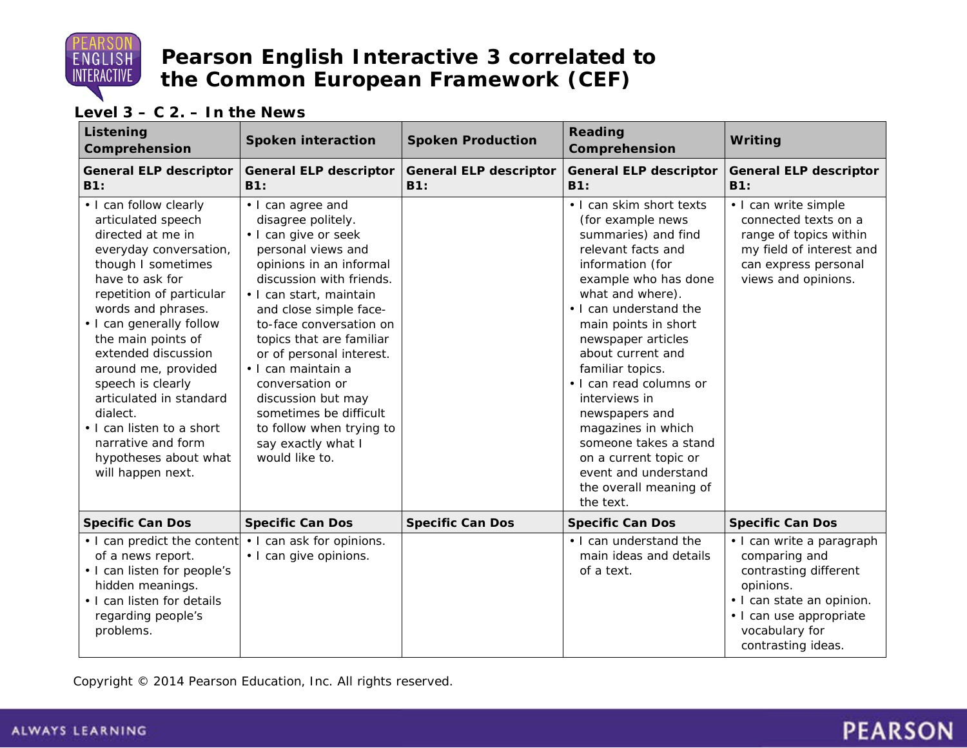

#### **Level 3 – C 2. – In the News**

| Listening<br>Comprehension                                                                                                                                                                                                                                                                                                                                                                                                                          | <b>Spoken interaction</b>                                                                                                                                                                                                                                                                                                                                                                                                                         | <b>Spoken Production</b>             | <b>Reading</b><br>Comprehension                                                                                                                                                                                                                                                                                                                                                                                                                                                  | Writing                                                                                                                                                                          |
|-----------------------------------------------------------------------------------------------------------------------------------------------------------------------------------------------------------------------------------------------------------------------------------------------------------------------------------------------------------------------------------------------------------------------------------------------------|---------------------------------------------------------------------------------------------------------------------------------------------------------------------------------------------------------------------------------------------------------------------------------------------------------------------------------------------------------------------------------------------------------------------------------------------------|--------------------------------------|----------------------------------------------------------------------------------------------------------------------------------------------------------------------------------------------------------------------------------------------------------------------------------------------------------------------------------------------------------------------------------------------------------------------------------------------------------------------------------|----------------------------------------------------------------------------------------------------------------------------------------------------------------------------------|
| <b>General ELP descriptor</b><br>B1:                                                                                                                                                                                                                                                                                                                                                                                                                | <b>General ELP descriptor</b><br>B1:                                                                                                                                                                                                                                                                                                                                                                                                              | <b>General ELP descriptor</b><br>B1: | <b>General ELP descriptor</b><br>B1:                                                                                                                                                                                                                                                                                                                                                                                                                                             | <b>General ELP descriptor</b><br>B1:                                                                                                                                             |
| • I can follow clearly<br>articulated speech<br>directed at me in<br>everyday conversation,<br>though I sometimes<br>have to ask for<br>repetition of particular<br>words and phrases.<br>• I can generally follow<br>the main points of<br>extended discussion<br>around me, provided<br>speech is clearly<br>articulated in standard<br>dialect.<br>• I can listen to a short<br>narrative and form<br>hypotheses about what<br>will happen next. | • I can agree and<br>disagree politely.<br>· I can give or seek<br>personal views and<br>opinions in an informal<br>discussion with friends.<br>• I can start, maintain<br>and close simple face-<br>to-face conversation on<br>topics that are familiar<br>or of personal interest.<br>· I can maintain a<br>conversation or<br>discussion but may<br>sometimes be difficult<br>to follow when trying to<br>say exactly what I<br>would like to. |                                      | . I can skim short texts<br>(for example news<br>summaries) and find<br>relevant facts and<br>information (for<br>example who has done<br>what and where).<br>. I can understand the<br>main points in short<br>newspaper articles<br>about current and<br>familiar topics.<br>• I can read columns or<br>interviews in<br>newspapers and<br>magazines in which<br>someone takes a stand<br>on a current topic or<br>event and understand<br>the overall meaning of<br>the text. | • I can write simple<br>connected texts on a<br>range of topics within<br>my field of interest and<br>can express personal<br>views and opinions.                                |
| <b>Specific Can Dos</b>                                                                                                                                                                                                                                                                                                                                                                                                                             | <b>Specific Can Dos</b>                                                                                                                                                                                                                                                                                                                                                                                                                           | <b>Specific Can Dos</b>              | <b>Specific Can Dos</b>                                                                                                                                                                                                                                                                                                                                                                                                                                                          | <b>Specific Can Dos</b>                                                                                                                                                          |
| • I can predict the content<br>of a news report.<br>• I can listen for people's<br>hidden meanings.<br>• I can listen for details<br>regarding people's<br>problems.                                                                                                                                                                                                                                                                                | • I can ask for opinions.<br>· I can give opinions.                                                                                                                                                                                                                                                                                                                                                                                               |                                      | . I can understand the<br>main ideas and details<br>of a text.                                                                                                                                                                                                                                                                                                                                                                                                                   | · I can write a paragraph<br>comparing and<br>contrasting different<br>opinions.<br>· I can state an opinion.<br>· I can use appropriate<br>vocabulary for<br>contrasting ideas. |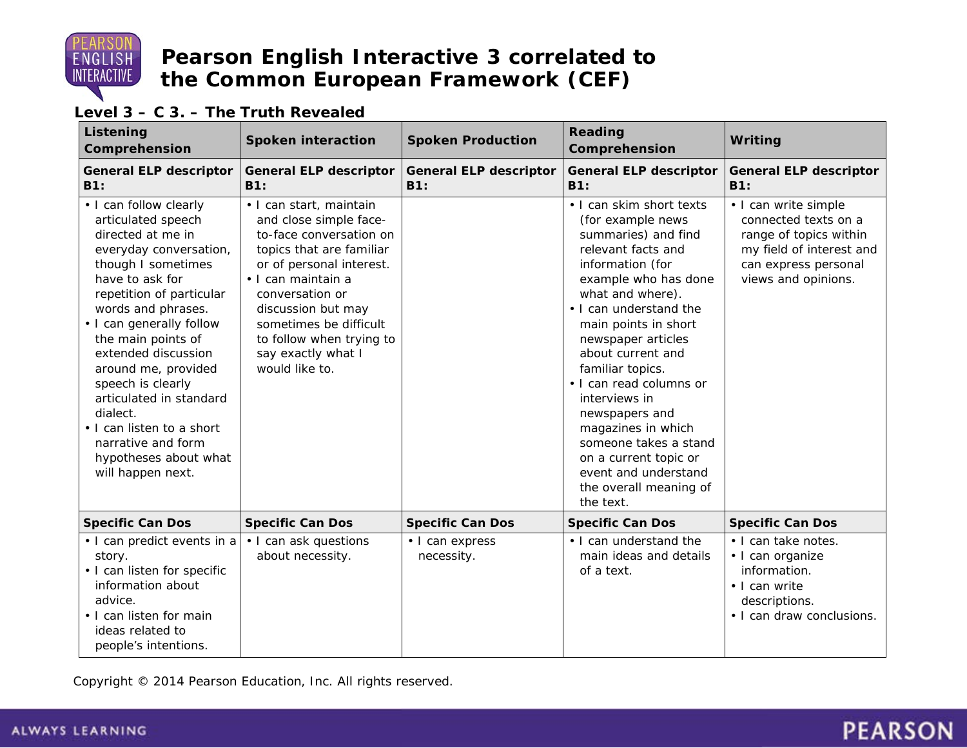

#### **Level 3 – C 3. – The Truth Revealed**

| Listening<br>Comprehension                                                                                                                                                                                                                                                                                                                                                                                                                          | <b>Spoken interaction</b>                                                                                                                                                                                                                                                                         | <b>Spoken Production</b>                    | <b>Reading</b><br>Comprehension                                                                                                                                                                                                                                                                                                                                                                                                                                                  | Writing                                                                                                                                           |
|-----------------------------------------------------------------------------------------------------------------------------------------------------------------------------------------------------------------------------------------------------------------------------------------------------------------------------------------------------------------------------------------------------------------------------------------------------|---------------------------------------------------------------------------------------------------------------------------------------------------------------------------------------------------------------------------------------------------------------------------------------------------|---------------------------------------------|----------------------------------------------------------------------------------------------------------------------------------------------------------------------------------------------------------------------------------------------------------------------------------------------------------------------------------------------------------------------------------------------------------------------------------------------------------------------------------|---------------------------------------------------------------------------------------------------------------------------------------------------|
| <b>General ELP descriptor</b><br>B1:                                                                                                                                                                                                                                                                                                                                                                                                                | <b>General ELP descriptor</b><br><b>B1:</b>                                                                                                                                                                                                                                                       | <b>General ELP descriptor</b><br><b>B1:</b> | <b>General ELP descriptor</b><br>B1:                                                                                                                                                                                                                                                                                                                                                                                                                                             | <b>General ELP descriptor</b><br><b>B1:</b>                                                                                                       |
| • I can follow clearly<br>articulated speech<br>directed at me in<br>everyday conversation,<br>though I sometimes<br>have to ask for<br>repetition of particular<br>words and phrases.<br>• I can generally follow<br>the main points of<br>extended discussion<br>around me, provided<br>speech is clearly<br>articulated in standard<br>dialect.<br>• I can listen to a short<br>narrative and form<br>hypotheses about what<br>will happen next. | · I can start, maintain<br>and close simple face-<br>to-face conversation on<br>topics that are familiar<br>or of personal interest.<br>· I can maintain a<br>conversation or<br>discussion but may<br>sometimes be difficult<br>to follow when trying to<br>say exactly what I<br>would like to. |                                             | . I can skim short texts<br>(for example news<br>summaries) and find<br>relevant facts and<br>information (for<br>example who has done<br>what and where).<br>. I can understand the<br>main points in short<br>newspaper articles<br>about current and<br>familiar topics.<br>· I can read columns or<br>interviews in<br>newspapers and<br>magazines in which<br>someone takes a stand<br>on a current topic or<br>event and understand<br>the overall meaning of<br>the text. | • I can write simple<br>connected texts on a<br>range of topics within<br>my field of interest and<br>can express personal<br>views and opinions. |
| <b>Specific Can Dos</b>                                                                                                                                                                                                                                                                                                                                                                                                                             | <b>Specific Can Dos</b>                                                                                                                                                                                                                                                                           | <b>Specific Can Dos</b>                     | <b>Specific Can Dos</b>                                                                                                                                                                                                                                                                                                                                                                                                                                                          | <b>Specific Can Dos</b>                                                                                                                           |
| • I can predict events in a<br>story.<br>• I can listen for specific<br>information about<br>advice.<br>. I can listen for main<br>ideas related to<br>people's intentions.                                                                                                                                                                                                                                                                         | • I can ask questions<br>about necessity.                                                                                                                                                                                                                                                         | · I can express<br>necessity.               | • I can understand the<br>main ideas and details<br>of a text.                                                                                                                                                                                                                                                                                                                                                                                                                   | · I can take notes.<br>· I can organize<br>information.<br>• I can write<br>descriptions.<br>• I can draw conclusions.                            |